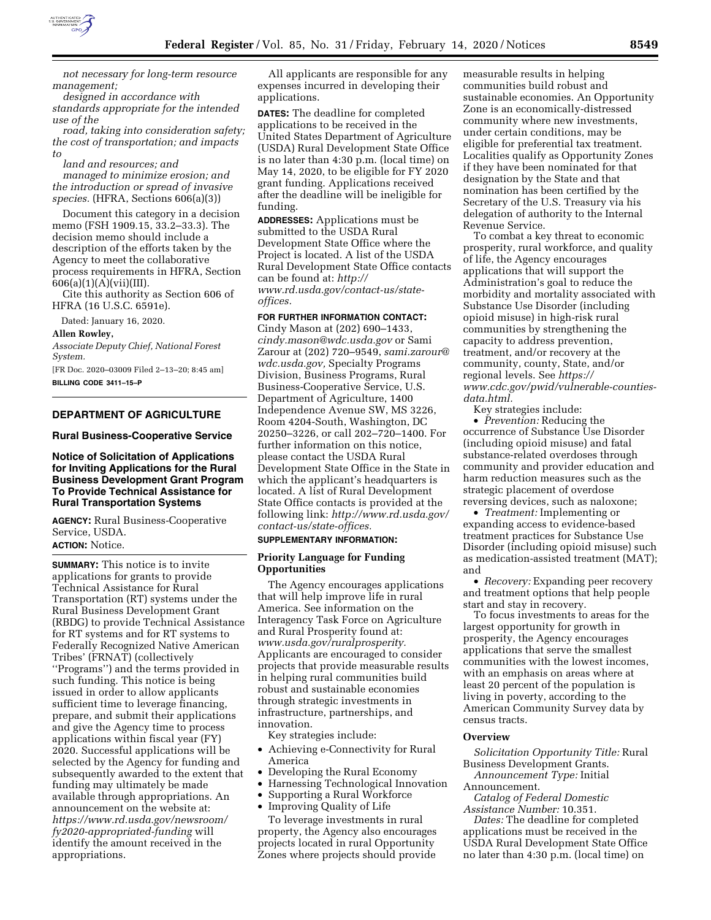

*not necessary for long-term resource management;* 

*designed in accordance with standards appropriate for the intended use of the* 

*road, taking into consideration safety; the cost of transportation; and impacts to* 

*land and resources; and* 

*managed to minimize erosion; and the introduction or spread of invasive species.* (HFRA, Sections 606(a)(3))

Document this category in a decision memo (FSH 1909.15, 33.2–33.3). The decision memo should include a description of the efforts taken by the Agency to meet the collaborative process requirements in HFRA, Section 606(a)(1)(A)(vii)(III).

Cite this authority as Section 606 of HFRA (16 U.S.C. 6591e).

Dated: January 16, 2020.

### **Allen Rowley,**

*Associate Deputy Chief, National Forest System.* 

[FR Doc. 2020–03009 Filed 2–13–20; 8:45 am] **BILLING CODE 3411–15–P** 

# **DEPARTMENT OF AGRICULTURE**

### **Rural Business-Cooperative Service**

## **Notice of Solicitation of Applications for Inviting Applications for the Rural Business Development Grant Program To Provide Technical Assistance for Rural Transportation Systems**

**AGENCY:** Rural Business-Cooperative Service, USDA. **ACTION:** Notice.

# **SUMMARY:** This notice is to invite applications for grants to provide Technical Assistance for Rural Transportation (RT) systems under the Rural Business Development Grant (RBDG) to provide Technical Assistance for RT systems and for RT systems to Federally Recognized Native American Tribes' (FRNAT) (collectively ''Programs'') and the terms provided in such funding. This notice is being issued in order to allow applicants sufficient time to leverage financing, prepare, and submit their applications and give the Agency time to process applications within fiscal year (FY) 2020. Successful applications will be selected by the Agency for funding and subsequently awarded to the extent that funding may ultimately be made available through appropriations. An announcement on the website at: *[https://www.rd.usda.gov/newsroom/](https://www.rd.usda.gov/newsroom/fy2020-appropriated-funding) [fy2020-appropriated-funding](https://www.rd.usda.gov/newsroom/fy2020-appropriated-funding)* will identify the amount received in the

appropriations.

All applicants are responsible for any expenses incurred in developing their applications.

**DATES:** The deadline for completed applications to be received in the United States Department of Agriculture (USDA) Rural Development State Office is no later than 4:30 p.m. (local time) on May 14, 2020, to be eligible for FY 2020 grant funding. Applications received after the deadline will be ineligible for funding.

**ADDRESSES:** Applications must be submitted to the USDA Rural Development State Office where the Project is located. A list of the USDA Rural Development State Office contacts can be found at: *[http://](http://www.rd.usda.gov/contact-us/state-offices)*

*[www.rd.usda.gov/contact-us/state](http://www.rd.usda.gov/contact-us/state-offices)[offices.](http://www.rd.usda.gov/contact-us/state-offices)* 

### **FOR FURTHER INFORMATION CONTACT:**  Cindy Mason at (202) 690–1433,

*[cindy.mason@wdc.usda.gov](mailto:cindy.mason@wdc.usda.gov)* or Sami Zarour at (202) 720–9549, *[sami.zarour@](mailto:sami.zarour@wdc.usda.gov) [wdc.usda.gov,](mailto:sami.zarour@wdc.usda.gov)* Specialty Programs Division, Business Programs, Rural Business-Cooperative Service, U.S. Department of Agriculture, 1400 Independence Avenue SW, MS 3226, Room 4204-South, Washington, DC 20250–3226, or call 202–720–1400. For further information on this notice, please contact the USDA Rural Development State Office in the State in which the applicant's headquarters is located. A list of Rural Development State Office contacts is provided at the following link: *[http://www.rd.usda.gov/](http://www.rd.usda.gov/contact-us/state-offices)  [contact-us/state-offices.](http://www.rd.usda.gov/contact-us/state-offices)* 

### **SUPPLEMENTARY INFORMATION:**

## **Priority Language for Funding Opportunities**

The Agency encourages applications that will help improve life in rural America. See information on the Interagency Task Force on Agriculture and Rural Prosperity found at: *[www.usda.gov/ruralprosperity.](http://www.usda.gov/ruralprosperity)*  Applicants are encouraged to consider projects that provide measurable results in helping rural communities build robust and sustainable economies through strategic investments in infrastructure, partnerships, and innovation.

Key strategies include:

- Achieving e-Connectivity for Rural America
- Developing the Rural Economy
- Harnessing Technological Innovation
- Supporting a Rural Workforce
- Improving Quality of Life

To leverage investments in rural property, the Agency also encourages projects located in rural Opportunity Zones where projects should provide

measurable results in helping communities build robust and sustainable economies. An Opportunity Zone is an economically-distressed community where new investments, under certain conditions, may be eligible for preferential tax treatment. Localities qualify as Opportunity Zones if they have been nominated for that designation by the State and that nomination has been certified by the Secretary of the U.S. Treasury via his delegation of authority to the Internal Revenue Service.

To combat a key threat to economic prosperity, rural workforce, and quality of life, the Agency encourages applications that will support the Administration's goal to reduce the morbidity and mortality associated with Substance Use Disorder (including opioid misuse) in high-risk rural communities by strengthening the capacity to address prevention, treatment, and/or recovery at the community, county, State, and/or regional levels. See *[https://](https://www.cdc.gov/pwid/vulnerable-counties-data.html) [www.cdc.gov/pwid/vulnerable-counties](https://www.cdc.gov/pwid/vulnerable-counties-data.html)[data.html.](https://www.cdc.gov/pwid/vulnerable-counties-data.html)* 

Key strategies include:

• *Prevention:* Reducing the occurrence of Substance Use Disorder (including opioid misuse) and fatal substance-related overdoses through community and provider education and harm reduction measures such as the strategic placement of overdose reversing devices, such as naloxone;

• *Treatment:* Implementing or expanding access to evidence-based treatment practices for Substance Use Disorder (including opioid misuse) such as medication-assisted treatment (MAT); and

• *Recovery:* Expanding peer recovery and treatment options that help people start and stay in recovery.

To focus investments to areas for the largest opportunity for growth in prosperity, the Agency encourages applications that serve the smallest communities with the lowest incomes, with an emphasis on areas where at least 20 percent of the population is living in poverty, according to the American Community Survey data by census tracts.

### **Overview**

*Solicitation Opportunity Title:* Rural Business Development Grants.

*Announcement Type:* Initial Announcement.

*Catalog of Federal Domestic Assistance Number:* 10.351.

*Dates:* The deadline for completed applications must be received in the USDA Rural Development State Office no later than 4:30 p.m. (local time) on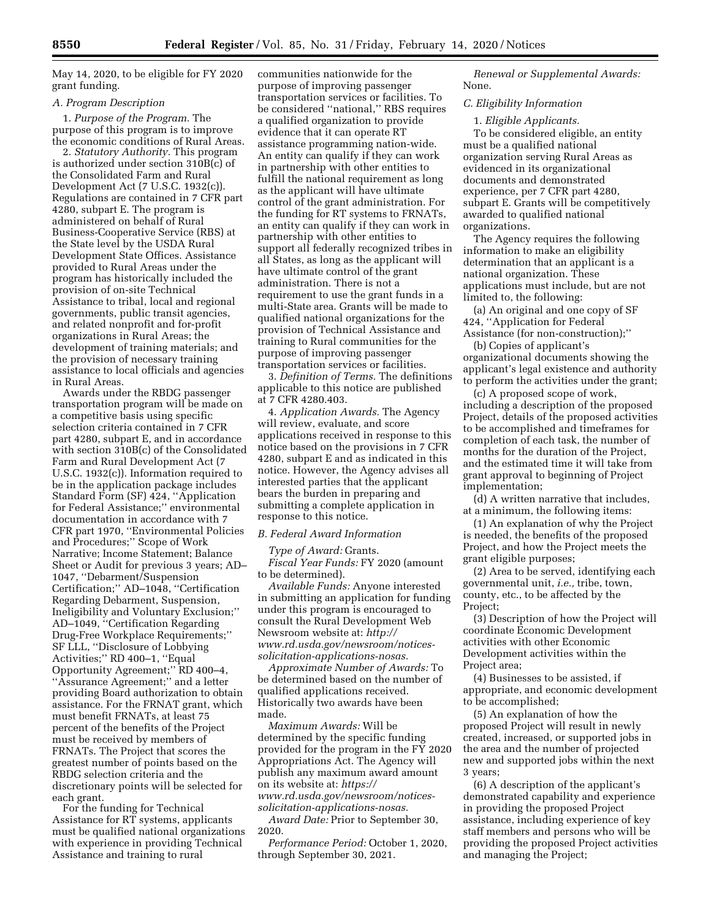May 14, 2020, to be eligible for FY 2020 grant funding.

## *A. Program Description*

1. *Purpose of the Program.* The purpose of this program is to improve the economic conditions of Rural Areas.

2. *Statutory Authority.* This program is authorized under section 310B(c) of the Consolidated Farm and Rural Development Act (7 U.S.C. 1932(c)). Regulations are contained in 7 CFR part 4280, subpart E. The program is administered on behalf of Rural Business-Cooperative Service (RBS) at the State level by the USDA Rural Development State Offices. Assistance provided to Rural Areas under the program has historically included the provision of on-site Technical Assistance to tribal, local and regional governments, public transit agencies, and related nonprofit and for-profit organizations in Rural Areas; the development of training materials; and the provision of necessary training assistance to local officials and agencies in Rural Areas.

Awards under the RBDG passenger transportation program will be made on a competitive basis using specific selection criteria contained in 7 CFR part 4280, subpart E, and in accordance with section 310B(c) of the Consolidated Farm and Rural Development Act (7 U.S.C. 1932(c)). Information required to be in the application package includes Standard Form (SF) 424, ''Application for Federal Assistance;'' environmental documentation in accordance with 7 CFR part 1970, ''Environmental Policies and Procedures;'' Scope of Work Narrative; Income Statement; Balance Sheet or Audit for previous 3 years; AD– 1047, ''Debarment/Suspension Certification;'' AD–1048, ''Certification Regarding Debarment, Suspension, Ineligibility and Voluntary Exclusion;'' AD–1049, ''Certification Regarding Drug-Free Workplace Requirements;'' SF LLL, ''Disclosure of Lobbying Activities;'' RD 400–1, ''Equal Opportunity Agreement;'' RD 400–4, ''Assurance Agreement;'' and a letter providing Board authorization to obtain assistance. For the FRNAT grant, which must benefit FRNATs, at least 75 percent of the benefits of the Project must be received by members of FRNATs. The Project that scores the greatest number of points based on the RBDG selection criteria and the discretionary points will be selected for each grant.

For the funding for Technical Assistance for RT systems, applicants must be qualified national organizations with experience in providing Technical Assistance and training to rural

communities nationwide for the purpose of improving passenger transportation services or facilities. To be considered ''national,'' RBS requires a qualified organization to provide evidence that it can operate RT assistance programming nation-wide. An entity can qualify if they can work in partnership with other entities to fulfill the national requirement as long as the applicant will have ultimate control of the grant administration. For the funding for RT systems to FRNATs, an entity can qualify if they can work in partnership with other entities to support all federally recognized tribes in all States, as long as the applicant will have ultimate control of the grant administration. There is not a requirement to use the grant funds in a multi-State area. Grants will be made to qualified national organizations for the provision of Technical Assistance and training to Rural communities for the purpose of improving passenger transportation services or facilities.

3. *Definition of Terms.* The definitions applicable to this notice are published at 7 CFR 4280.403.

4. *Application Awards.* The Agency will review, evaluate, and score applications received in response to this notice based on the provisions in 7 CFR 4280, subpart E and as indicated in this notice. However, the Agency advises all interested parties that the applicant bears the burden in preparing and submitting a complete application in response to this notice.

### *B. Federal Award Information*

## *Type of Award:* Grants.

*Fiscal Year Funds:* FY 2020 (amount to be determined).

*Available Funds:* Anyone interested in submitting an application for funding under this program is encouraged to consult the Rural Development Web Newsroom website at: *[http://](http://www.rd.usda.gov/newsroom/notices-solicitation-applications-nosas) [www.rd.usda.gov/newsroom/notices](http://www.rd.usda.gov/newsroom/notices-solicitation-applications-nosas)[solicitation-applications-nosas.](http://www.rd.usda.gov/newsroom/notices-solicitation-applications-nosas)* 

*Approximate Number of Awards:* To be determined based on the number of qualified applications received. Historically two awards have been made.

*Maximum Awards:* Will be determined by the specific funding provided for the program in the FY 2020 Appropriations Act. The Agency will publish any maximum award amount on its website at: *[https://](https://www.rd.usda.gov/newsroom/notices-solicitation-applications-nosas) [www.rd.usda.gov/newsroom/notices-](https://www.rd.usda.gov/newsroom/notices-solicitation-applications-nosas)*

*[solicitation-applications-nosas.](https://www.rd.usda.gov/newsroom/notices-solicitation-applications-nosas)  Award Date:* Prior to September 30, 2020.

*Performance Period:* October 1, 2020, through September 30, 2021.

*Renewal or Supplemental Awards:*  None.

## *C. Eligibility Information*

1. *Eligible Applicants.* 

To be considered eligible, an entity must be a qualified national organization serving Rural Areas as evidenced in its organizational documents and demonstrated experience, per 7 CFR part 4280, subpart E. Grants will be competitively awarded to qualified national organizations.

The Agency requires the following information to make an eligibility determination that an applicant is a national organization. These applications must include, but are not limited to, the following:

(a) An original and one copy of SF 424, ''Application for Federal Assistance (for non-construction);''

(b) Copies of applicant's organizational documents showing the applicant's legal existence and authority to perform the activities under the grant;

(c) A proposed scope of work, including a description of the proposed Project, details of the proposed activities to be accomplished and timeframes for completion of each task, the number of months for the duration of the Project, and the estimated time it will take from grant approval to beginning of Project implementation;

(d) A written narrative that includes, at a minimum, the following items:

(1) An explanation of why the Project is needed, the benefits of the proposed Project, and how the Project meets the grant eligible purposes;

(2) Area to be served, identifying each governmental unit, *i.e.,* tribe, town, county, etc., to be affected by the Project;

(3) Description of how the Project will coordinate Economic Development activities with other Economic Development activities within the Project area;

(4) Businesses to be assisted, if appropriate, and economic development to be accomplished;

(5) An explanation of how the proposed Project will result in newly created, increased, or supported jobs in the area and the number of projected new and supported jobs within the next 3 years;

(6) A description of the applicant's demonstrated capability and experience in providing the proposed Project assistance, including experience of key staff members and persons who will be providing the proposed Project activities and managing the Project;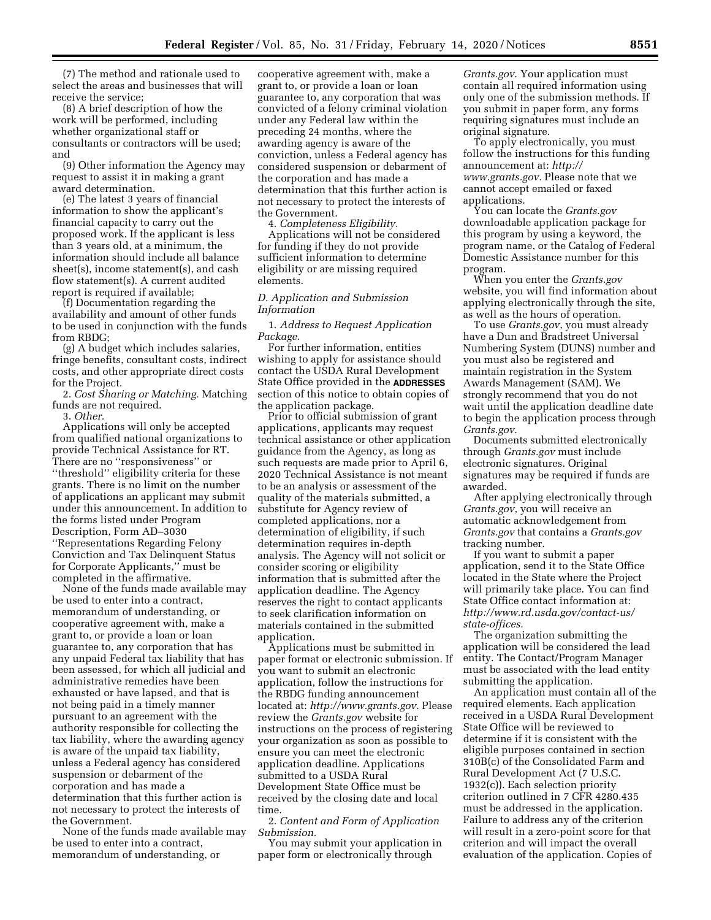(7) The method and rationale used to select the areas and businesses that will receive the service;

(8) A brief description of how the work will be performed, including whether organizational staff or consultants or contractors will be used; and

(9) Other information the Agency may request to assist it in making a grant award determination.

(e) The latest 3 years of financial information to show the applicant's financial capacity to carry out the proposed work. If the applicant is less than 3 years old, at a minimum, the information should include all balance sheet(s), income statement(s), and cash flow statement(s). A current audited report is required if available;

(f) Documentation regarding the availability and amount of other funds to be used in conjunction with the funds from RBDG;

(g) A budget which includes salaries, fringe benefits, consultant costs, indirect costs, and other appropriate direct costs for the Project.

2. *Cost Sharing or Matching.* Matching funds are not required.

3. *Other.* 

Applications will only be accepted from qualified national organizations to provide Technical Assistance for RT. There are no ''responsiveness'' or ''threshold'' eligibility criteria for these grants. There is no limit on the number of applications an applicant may submit under this announcement. In addition to the forms listed under Program Description, Form AD–3030 ''Representations Regarding Felony Conviction and Tax Delinquent Status for Corporate Applicants,'' must be completed in the affirmative.

None of the funds made available may be used to enter into a contract, memorandum of understanding, or cooperative agreement with, make a grant to, or provide a loan or loan guarantee to, any corporation that has any unpaid Federal tax liability that has been assessed, for which all judicial and administrative remedies have been exhausted or have lapsed, and that is not being paid in a timely manner pursuant to an agreement with the authority responsible for collecting the tax liability, where the awarding agency is aware of the unpaid tax liability, unless a Federal agency has considered suspension or debarment of the corporation and has made a determination that this further action is not necessary to protect the interests of the Government.

None of the funds made available may be used to enter into a contract, memorandum of understanding, or

cooperative agreement with, make a grant to, or provide a loan or loan guarantee to, any corporation that was convicted of a felony criminal violation under any Federal law within the preceding 24 months, where the awarding agency is aware of the conviction, unless a Federal agency has considered suspension or debarment of the corporation and has made a determination that this further action is not necessary to protect the interests of the Government.

4. *Completeness Eligibility.*  Applications will not be considered for funding if they do not provide sufficient information to determine eligibility or are missing required elements.

## *D. Application and Submission Information*

1. *Address to Request Application Package.* 

For further information, entities wishing to apply for assistance should contact the USDA Rural Development State Office provided in the **ADDRESSES** section of this notice to obtain copies of the application package.

Prior to official submission of grant applications, applicants may request technical assistance or other application guidance from the Agency, as long as such requests are made prior to April 6, 2020 Technical Assistance is not meant to be an analysis or assessment of the quality of the materials submitted, a substitute for Agency review of completed applications, nor a determination of eligibility, if such determination requires in-depth analysis. The Agency will not solicit or consider scoring or eligibility information that is submitted after the application deadline. The Agency reserves the right to contact applicants to seek clarification information on materials contained in the submitted application.

Applications must be submitted in paper format or electronic submission. If you want to submit an electronic application, follow the instructions for the RBDG funding announcement located at: *[http://www.grants.gov.](http://www.grants.gov)* Please review the *Grants.gov* website for instructions on the process of registering your organization as soon as possible to ensure you can meet the electronic application deadline. Applications submitted to a USDA Rural Development State Office must be received by the closing date and local time.

2. *Content and Form of Application Submission.* 

You may submit your application in paper form or electronically through

*Grants.gov*. Your application must contain all required information using only one of the submission methods. If you submit in paper form, any forms requiring signatures must include an original signature.

To apply electronically, you must follow the instructions for this funding announcement at: *[http://](http://www.grants.gov) [www.grants.gov.](http://www.grants.gov)* Please note that we cannot accept emailed or faxed applications.

You can locate the *Grants.gov*  downloadable application package for this program by using a keyword, the program name, or the Catalog of Federal Domestic Assistance number for this program.

When you enter the *Grants.gov*  website, you will find information about applying electronically through the site, as well as the hours of operation.

To use *Grants.gov*, you must already have a Dun and Bradstreet Universal Numbering System (DUNS) number and you must also be registered and maintain registration in the System Awards Management (SAM). We strongly recommend that you do not wait until the application deadline date to begin the application process through *Grants.gov*.

Documents submitted electronically through *Grants.gov* must include electronic signatures. Original signatures may be required if funds are awarded.

After applying electronically through *Grants.gov*, you will receive an automatic acknowledgement from *Grants.gov* that contains a *Grants.gov*  tracking number.

If you want to submit a paper application, send it to the State Office located in the State where the Project will primarily take place. You can find State Office contact information at: *[http://www.rd.usda.gov/contact-us/](http://www.rd.usda.gov/contact-us/state-offices)  [state-offices.](http://www.rd.usda.gov/contact-us/state-offices)* 

The organization submitting the application will be considered the lead entity. The Contact/Program Manager must be associated with the lead entity submitting the application.

An application must contain all of the required elements. Each application received in a USDA Rural Development State Office will be reviewed to determine if it is consistent with the eligible purposes contained in section 310B(c) of the Consolidated Farm and Rural Development Act (7 U.S.C. 1932(c)). Each selection priority criterion outlined in 7 CFR 4280.435 must be addressed in the application. Failure to address any of the criterion will result in a zero-point score for that criterion and will impact the overall evaluation of the application. Copies of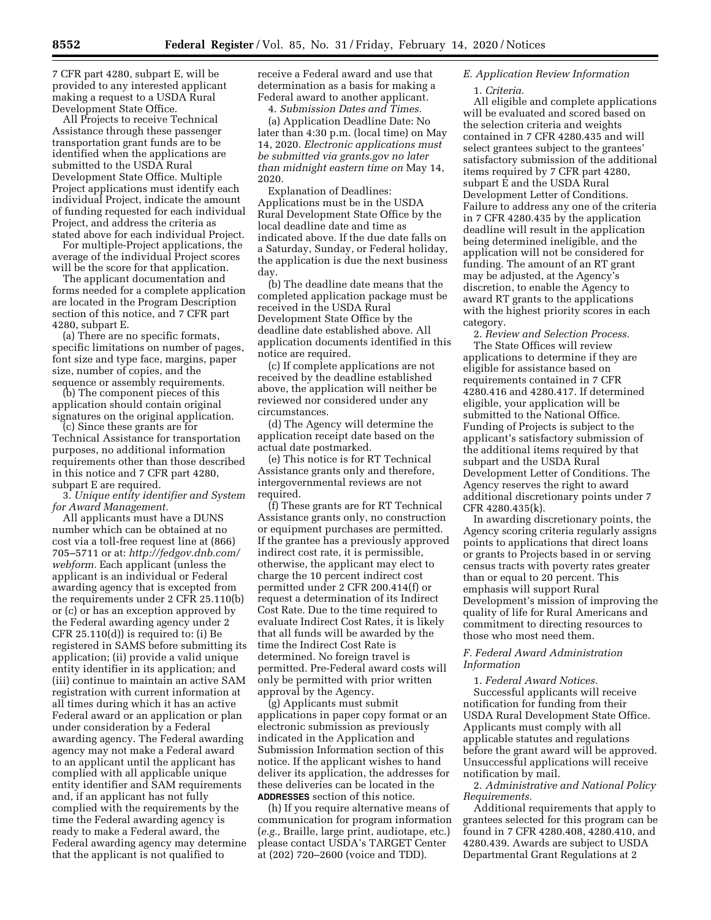7 CFR part 4280, subpart E, will be provided to any interested applicant making a request to a USDA Rural Development State Office.

All Projects to receive Technical Assistance through these passenger transportation grant funds are to be identified when the applications are submitted to the USDA Rural Development State Office. Multiple Project applications must identify each individual Project, indicate the amount of funding requested for each individual Project, and address the criteria as stated above for each individual Project.

For multiple-Project applications, the average of the individual Project scores will be the score for that application.

The applicant documentation and forms needed for a complete application are located in the Program Description section of this notice, and 7 CFR part 4280, subpart E.

(a) There are no specific formats, specific limitations on number of pages, font size and type face, margins, paper size, number of copies, and the sequence or assembly requirements.

(b) The component pieces of this application should contain original signatures on the original application.

(c) Since these grants are for Technical Assistance for transportation purposes, no additional information requirements other than those described in this notice and 7 CFR part 4280, subpart E are required.

3. *Unique entity identifier and System for Award Management.* 

All applicants must have a DUNS number which can be obtained at no cost via a toll-free request line at (866) 705–5711 or at: *[http://fedgov.dnb.com/](http://fedgov.dnb.com/webform)  [webform.](http://fedgov.dnb.com/webform)* Each applicant (unless the applicant is an individual or Federal awarding agency that is excepted from the requirements under 2 CFR 25.110(b) or (c) or has an exception approved by the Federal awarding agency under 2 CFR 25.110(d)) is required to: (i) Be registered in SAMS before submitting its application; (ii) provide a valid unique entity identifier in its application; and (iii) continue to maintain an active SAM registration with current information at all times during which it has an active Federal award or an application or plan under consideration by a Federal awarding agency. The Federal awarding agency may not make a Federal award to an applicant until the applicant has complied with all applicable unique entity identifier and SAM requirements and, if an applicant has not fully complied with the requirements by the time the Federal awarding agency is ready to make a Federal award, the Federal awarding agency may determine that the applicant is not qualified to

receive a Federal award and use that determination as a basis for making a Federal award to another applicant.

4. *Submission Dates and Times.* 

(a) Application Deadline Date: No later than 4:30 p.m. (local time) on May 14, 2020. *Electronic applications must be submitted via grants.gov no later than midnight eastern time on* May 14, 2020.

Explanation of Deadlines: Applications must be in the USDA Rural Development State Office by the local deadline date and time as indicated above. If the due date falls on a Saturday, Sunday, or Federal holiday, the application is due the next business day.

(b) The deadline date means that the completed application package must be received in the USDA Rural Development State Office by the deadline date established above. All application documents identified in this notice are required.

(c) If complete applications are not received by the deadline established above, the application will neither be reviewed nor considered under any circumstances.

(d) The Agency will determine the application receipt date based on the actual date postmarked.

(e) This notice is for RT Technical Assistance grants only and therefore, intergovernmental reviews are not required.

(f) These grants are for RT Technical Assistance grants only, no construction or equipment purchases are permitted. If the grantee has a previously approved indirect cost rate, it is permissible, otherwise, the applicant may elect to charge the 10 percent indirect cost permitted under 2 CFR 200.414(f) or request a determination of its Indirect Cost Rate. Due to the time required to evaluate Indirect Cost Rates, it is likely that all funds will be awarded by the time the Indirect Cost Rate is determined. No foreign travel is permitted. Pre-Federal award costs will only be permitted with prior written approval by the Agency.

(g) Applicants must submit applications in paper copy format or an electronic submission as previously indicated in the Application and Submission Information section of this notice. If the applicant wishes to hand deliver its application, the addresses for these deliveries can be located in the **ADDRESSES** section of this notice.

(h) If you require alternative means of communication for program information (*e.g.,* Braille, large print, audiotape, etc.) please contact USDA's TARGET Center at (202) 720–2600 (voice and TDD).

# *E. Application Review Information*

### 1. *Criteria.*

All eligible and complete applications will be evaluated and scored based on the selection criteria and weights contained in 7 CFR 4280.435 and will select grantees subject to the grantees' satisfactory submission of the additional items required by 7 CFR part 4280, subpart E and the USDA Rural Development Letter of Conditions. Failure to address any one of the criteria in 7 CFR 4280.435 by the application deadline will result in the application being determined ineligible, and the application will not be considered for funding. The amount of an RT grant may be adjusted, at the Agency's discretion, to enable the Agency to award RT grants to the applications with the highest priority scores in each category.

2. *Review and Selection Process.*  The State Offices will review applications to determine if they are eligible for assistance based on requirements contained in 7 CFR 4280.416 and 4280.417. If determined eligible, your application will be submitted to the National Office. Funding of Projects is subject to the applicant's satisfactory submission of the additional items required by that subpart and the USDA Rural Development Letter of Conditions. The Agency reserves the right to award additional discretionary points under 7 CFR 4280.435(k).

In awarding discretionary points, the Agency scoring criteria regularly assigns points to applications that direct loans or grants to Projects based in or serving census tracts with poverty rates greater than or equal to 20 percent. This emphasis will support Rural Development's mission of improving the quality of life for Rural Americans and commitment to directing resources to those who most need them.

## *F. Federal Award Administration Information*

1. *Federal Award Notices.*  Successful applicants will receive notification for funding from their USDA Rural Development State Office. Applicants must comply with all applicable statutes and regulations before the grant award will be approved. Unsuccessful applications will receive notification by mail.

2. *Administrative and National Policy Requirements.* 

Additional requirements that apply to grantees selected for this program can be found in 7 CFR 4280.408, 4280.410, and 4280.439. Awards are subject to USDA Departmental Grant Regulations at 2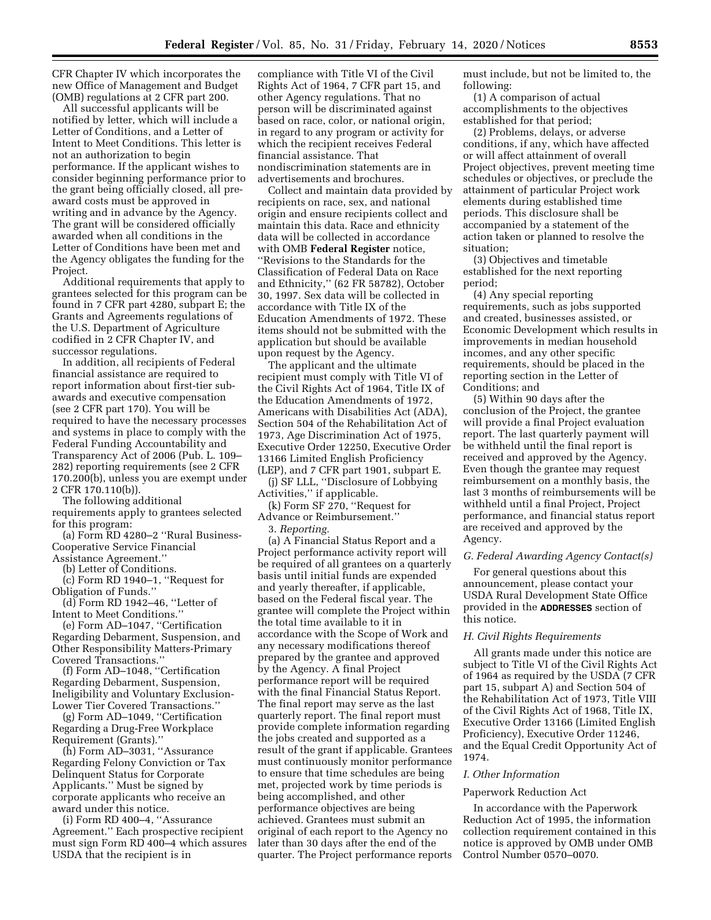CFR Chapter IV which incorporates the new Office of Management and Budget (OMB) regulations at 2 CFR part 200.

All successful applicants will be notified by letter, which will include a Letter of Conditions, and a Letter of Intent to Meet Conditions. This letter is not an authorization to begin performance. If the applicant wishes to consider beginning performance prior to the grant being officially closed, all preaward costs must be approved in writing and in advance by the Agency. The grant will be considered officially awarded when all conditions in the Letter of Conditions have been met and the Agency obligates the funding for the Project.

Additional requirements that apply to grantees selected for this program can be found in 7 CFR part 4280, subpart E; the Grants and Agreements regulations of the U.S. Department of Agriculture codified in 2 CFR Chapter IV, and successor regulations.

In addition, all recipients of Federal financial assistance are required to report information about first-tier subawards and executive compensation (see 2 CFR part 170). You will be required to have the necessary processes and systems in place to comply with the Federal Funding Accountability and Transparency Act of 2006 (Pub. L. 109– 282) reporting requirements (see 2 CFR 170.200(b), unless you are exempt under 2 CFR 170.110(b)).

The following additional requirements apply to grantees selected for this program:

(a) Form RD 4280–2 ''Rural Business-Cooperative Service Financial Assistance Agreement.''

(b) Letter of Conditions.

(c) Form RD 1940–1, ''Request for Obligation of Funds.''

(d) Form RD 1942–46, ''Letter of Intent to Meet Conditions.''

(e) Form AD–1047, ''Certification Regarding Debarment, Suspension, and Other Responsibility Matters-Primary Covered Transactions.''

(f) Form AD–1048, ''Certification Regarding Debarment, Suspension, Ineligibility and Voluntary Exclusion-Lower Tier Covered Transactions.''

(g) Form AD–1049, ''Certification Regarding a Drug-Free Workplace Requirement (Grants).''

(h) Form AD–3031, ''Assurance Regarding Felony Conviction or Tax Delinquent Status for Corporate Applicants.'' Must be signed by corporate applicants who receive an award under this notice.

(i) Form RD 400–4, ''Assurance Agreement.'' Each prospective recipient must sign Form RD 400–4 which assures USDA that the recipient is in

compliance with Title VI of the Civil Rights Act of 1964, 7 CFR part 15, and other Agency regulations. That no person will be discriminated against based on race, color, or national origin, in regard to any program or activity for which the recipient receives Federal financial assistance. That nondiscrimination statements are in advertisements and brochures.

Collect and maintain data provided by recipients on race, sex, and national origin and ensure recipients collect and maintain this data. Race and ethnicity data will be collected in accordance with OMB **Federal Register** notice, ''Revisions to the Standards for the Classification of Federal Data on Race and Ethnicity,'' (62 FR 58782), October 30, 1997. Sex data will be collected in accordance with Title IX of the Education Amendments of 1972. These items should not be submitted with the application but should be available upon request by the Agency.

The applicant and the ultimate recipient must comply with Title VI of the Civil Rights Act of 1964, Title IX of the Education Amendments of 1972, Americans with Disabilities Act (ADA), Section 504 of the Rehabilitation Act of 1973, Age Discrimination Act of 1975, Executive Order 12250, Executive Order 13166 Limited English Proficiency (LEP), and 7 CFR part 1901, subpart E.

(j) SF LLL, ''Disclosure of Lobbying Activities,'' if applicable.

(k) Form SF 270, ''Request for Advance or Reimbursement.''

3. *Reporting.* 

(a) A Financial Status Report and a Project performance activity report will be required of all grantees on a quarterly basis until initial funds are expended and yearly thereafter, if applicable, based on the Federal fiscal year. The grantee will complete the Project within the total time available to it in accordance with the Scope of Work and any necessary modifications thereof prepared by the grantee and approved by the Agency. A final Project performance report will be required with the final Financial Status Report. The final report may serve as the last quarterly report. The final report must provide complete information regarding the jobs created and supported as a result of the grant if applicable. Grantees must continuously monitor performance to ensure that time schedules are being met, projected work by time periods is being accomplished, and other performance objectives are being achieved. Grantees must submit an original of each report to the Agency no later than 30 days after the end of the quarter. The Project performance reports must include, but not be limited to, the following:

(1) A comparison of actual accomplishments to the objectives established for that period;

(2) Problems, delays, or adverse conditions, if any, which have affected or will affect attainment of overall Project objectives, prevent meeting time schedules or objectives, or preclude the attainment of particular Project work elements during established time periods. This disclosure shall be accompanied by a statement of the action taken or planned to resolve the situation;

(3) Objectives and timetable established for the next reporting period;

(4) Any special reporting requirements, such as jobs supported and created, businesses assisted, or Economic Development which results in improvements in median household incomes, and any other specific requirements, should be placed in the reporting section in the Letter of Conditions; and

(5) Within 90 days after the conclusion of the Project, the grantee will provide a final Project evaluation report. The last quarterly payment will be withheld until the final report is received and approved by the Agency. Even though the grantee may request reimbursement on a monthly basis, the last 3 months of reimbursements will be withheld until a final Project, Project performance, and financial status report are received and approved by the Agency.

# *G. Federal Awarding Agency Contact(s)*

For general questions about this announcement, please contact your USDA Rural Development State Office provided in the **ADDRESSES** section of this notice.

### *H. Civil Rights Requirements*

All grants made under this notice are subject to Title VI of the Civil Rights Act of 1964 as required by the USDA (7 CFR part 15, subpart A) and Section 504 of the Rehabilitation Act of 1973, Title VIII of the Civil Rights Act of 1968, Title IX, Executive Order 13166 (Limited English Proficiency), Executive Order 11246, and the Equal Credit Opportunity Act of 1974.

### *I. Other Information*

## Paperwork Reduction Act

In accordance with the Paperwork Reduction Act of 1995, the information collection requirement contained in this notice is approved by OMB under OMB Control Number 0570–0070.